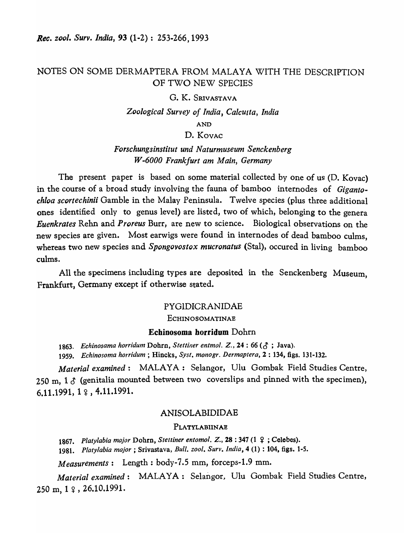# NOTES ON SOME DERMAPTERA FROM MALAYA WITH THE DESCRIPTION OF TWO NEW SPECIES

# G. K. SRIVASTAVA

*Zoological Survey of India, Calcut ta, India* 

AND

# D. KOVAC

# *Forschungsinstitut und Naturmuseum Senckenberg W-6000 Frankfurt am Main, Germany*

The present paper is based on some material collected by one of us (D. Kovac) in the course of a broad study involving the fauna of bamboo internodes of *Gigantochloa scortechinii* Gamble in the Malay Peninsula. Twelve species (plus three additional ones identified only to genus level) are listed, two of which, belonging to the genera *Euenkrates* Rehn and *Proreus* Burr, are new to science. Biological observations on the new species are given. Most earwigs were found in internodes of dead bamboo culms, whereas two new species and *Spongovostox mucronatus* (Stal), occured in living bamboo culms.

A1l the specimens including types are deposited in the Senckenberg Museum, Frankfurt, Germany except if otherwise stated.

## PYGIDICRANIDAE

#### ECHINOSOMATINAE

# Ecbinosoma horridum Dohrn

1863. Echinosama horridum Dohrn, *Stettiner entmol. Z.*, 24:66 ( $\delta$ ; Java).

*1959. Echinosoma horridum* ; Hincks, *Syst. monogr. Dermaptera,* 2 : 134, figs. 131-132.

*Material examined* : MALAY A: Selangor, Uiu Gombak Field Studies Centre, 250 m,  $1 \delta$  (genitalia mounted between two coverslips and pinned with the specimen), 6.11.1991, 1  $\Omega$ , 4.11.1991.

## ANISOLABIDIDAE

## **PLATYLABIINAE**

*1867. Platylabia major* Dohrn, *Stettiner entomol. Z.,* 28 : 347 (1 ~ ; Celebes). *1981. Platylabia major;* Srivastava, *Bull. zool. Surv. India,* 4 (1) : 104, figs. *1-5.* 

*Measurements:* Length: body-7.5 mm, forceps-l.9 mm.

*Material examined* : MALAYA: Selangor, Ulu Gombak Field Studies Centre, 250 m, 1 º, 26.10.1991.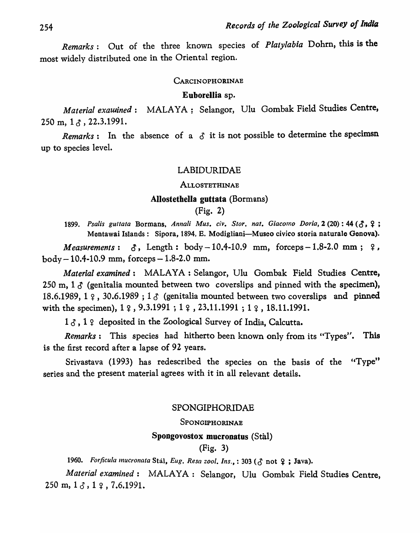*Remarks:* Out of the three known species of *Platylabia* Dohrn, this is the most widely distributed one in the Oriental region.

#### **CARCINOPHORINAE**

#### Euborellia sp.

*Material exawined*: MALAYA: Selangor, Ulu Gombak Field Studies Centre,  $250$  m,  $1 \lambda$ ,  $22.3.1991$ .

*Remarks*: In the absence of a  $\delta$  it is not possible to determine the specimsn up to species level.

#### LABIDURIDAE

#### ALLOSTETHINAE

#### Allostethella guttata (Bormans)

(Fig. 2)

1899. Psalis guttata Bormans, *Annali Mus. civ. Stor. nat. Giacomo Doria*, 2 (20): 44 ( $\delta$ ,  $\Omega$ ; Mentawai Islands: Sipora, 1894, E. Modigliani-Museo civico storia naturale Genova).

*Measurements*:  $\delta$ , Length: body -10.4-10.9 mm, forceps -1.8-2.0 mm;  $\Omega$ ,  $body - 10.4 - 10.9$  mm, forceps  $-1.8 - 2.0$  mm.

*Material examined* : MALAYA: Selangor, Uiu Gombak Field Studies Centre, 250 m,  $1 \delta$  (genitalia mounted between two coverslips and pinned with the specimen), 18.6.1989, 1  $\varphi$ , 30.6.1989; 1  $\varphi$  (genitalia mounted between two coverslips and pinned with the specimen),  $1 \, \varphi$ ,  $9.3.1991$ ;  $1 \, \varphi$ ,  $23.11.1991$ ;  $1 \, \varphi$ ,  $18.11.1991$ .

 $1 \delta$ ,  $1 \gamma$  deposited in the Zoological Survey of India, Calcutta.

*Remarks:* This species had hitherto been known only from its "Types". This is the first record after a lapse of 92 years.

Srivastava (1993) has redescribed the species on the basis of the "Type" series and the present material agrees with it in all relevant details.

#### SPONGIPHORIDAE

## SPONGIPHORINAE

# Spongovostox mucronatus (Stal)

## (Fig. 3)

1960. Forficula mucronata Stal, *Eug. Resa zool. Ins.*, : 303 ( $\delta$  not  $\epsilon$ ; Java).

*Material examined* : MALAYA: Selangor, Ulu Gombak Field Studies Centre, 250 m, 1  $\delta$ , 1  $\epsilon$ , 7.6.1991.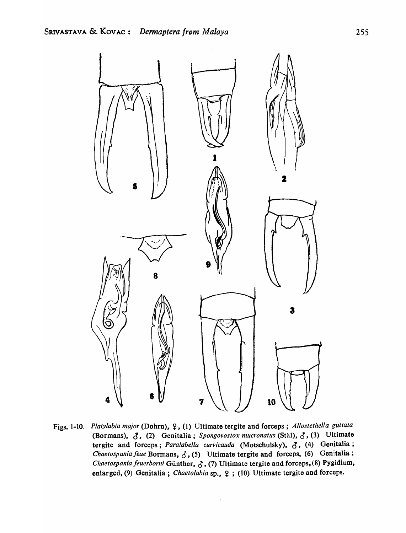

Figs. 1-10. Platylabia major (Dohrn),  $9$ , (1) Ultimate tergite and forceps; *Allostethella guttata* (Bormans),  $\delta$ , (2) Genitalia; *Spongovostox mucronatus* (Stal),  $\delta$ , (3) Ultimate tergite and forceps; Paralabella curvicauda (Motschulsky),  $\delta$ , (4) Genitalia; *Chaetospania feae* Bormans,  $\delta$ , (5) Ultimate tergite and forceps, (6) Genitalia; *Chaetospania feuerborni* Günther,  $\zeta$ , (7) Ultimate tergite and forceps, (8) Pygidium, enlarged, (9) Genitalia; *Chaetolabia* sp.,  $9$ ; (10) Ultimate tergite and forceps.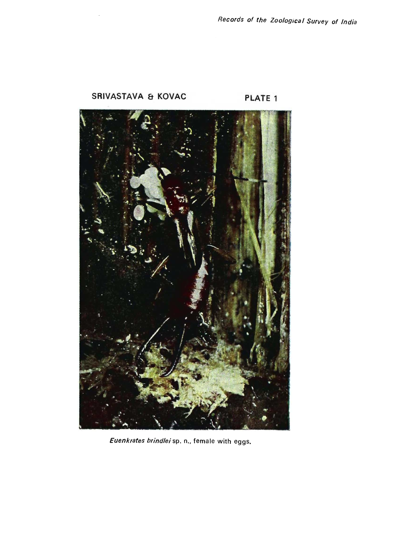

Euenkrates brindlei sp. n., female with eggs.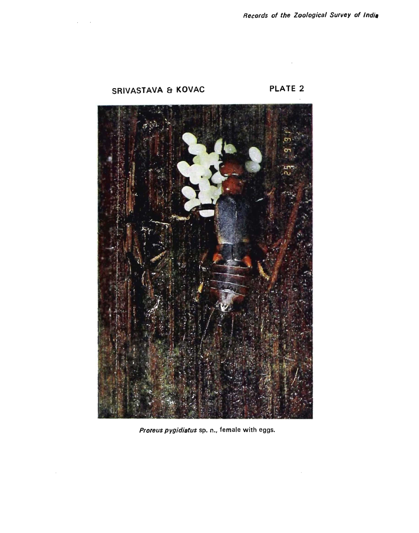# SRIVASTAVA & KOVAC

 $\mathcal{L}(\mathcal{A})$  and  $\mathcal{L}(\mathcal{A})$  and  $\mathcal{L}(\mathcal{A})$ 

 $\hat{\boldsymbol{\beta}}$ 



 $\bar{\beta}$ 



Proreus pygidiatus sp. n., female with eggs.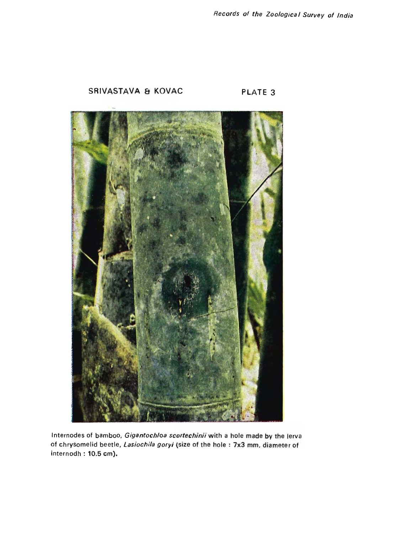# SRIVASTAVA & KOVAC

# PLATE 3



Internodes of bamboo, Gigantochloa scortechinii with a hole made by the lerva of chrysomelid beetle, Lasiochila goryi (size of the hole: 7x3 mm, diameter of internodh: 10.5 cm).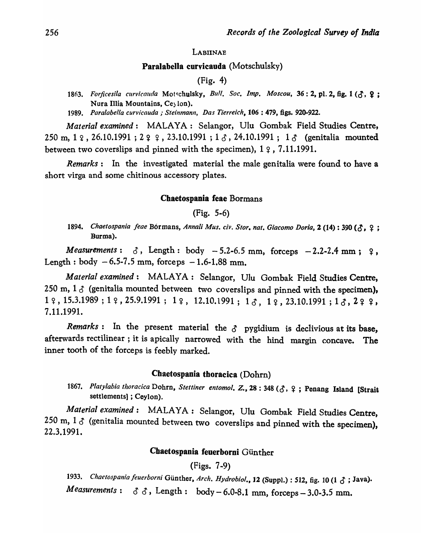#### LABIINAE

## Paralabella curvicauda (Motschulsky)

# (Fig. 4)

- 1863. *Forficesila curvicauda* Motschulsky, *Bull. Soc. Imp. Moscou*, 36: 2, pl. 2, fig. 1 ( $\zeta$ , 9; Nura I1lia Mountains, Ce) Ion).
- 1989. Paralabella curvicauda; Steinmann, Das Tierreich, **106 : 479, figs. 920-922.**

*Material examined:* MALAYA: Selangor, Uiu Gombak Field Studies Centre, 250 m,  $1 \, \text{g}$ , 26.10.1991 ;  $2 \, \text{g}$ , 23.10.1991 ;  $1 \, \text{g}$ , 24.10.1991 ;  $1 \, \text{g}$  (genitalia mounted between two coverslips and pinned with the specimen),  $1 \, \gamma$ ,  $7.11.1991$ .

*Remarks:* In the investigated material the male genitalia were found to have a short virga and some chitinous accessory plates.

## Chaetospania feae Bormans

(Fig. 5-6)

1894. *Chaetospania feae Bórmans, Annali Mus. civ. Stor. nat. Giacomo Doria*, 2 (14): 390 ( $\delta$ ,  $\varphi$ ; Burma).

*Measurements*:  $\delta$ , Length: body -5.2-6.5 mm, forceps -2.2-2.4 mm; ?, Length: body  $-6.5-7.5$  mm, forceps  $-1.6-1.88$  mm.

*Material examined:* MALA YA: Selangor, Ulu Gombak Field Studies Centre, 250 m,  $1 \delta$  (genitalia mounted between two coverslips and pinned with the specimen),  $1 \,$   $\varphi$ , 15.3.1989; 1  $\varphi$ , 25.9.1991; 1  $\varphi$ , 12.10.1991; 1  $\delta$ , 1  $\varphi$ , 23.10.1991; 1  $\delta$ , 2  $\varphi$   $\varphi$ , 7.11.1991.

*Remarks*: In the present material the  $\delta$  pygidium is declivious at its base, afterwards rectilinear; it is apically narrowed with the hind margin concave. The inner tooth of the forceps is feebly marked.

## Chaetospania thoracica (Dohrn)

1867. Platylabia thoracica Dohrn, *Stettiner entomol. Z.*, 28: 348 ( $\delta$ ,  $\Omega$ ; Penang Island [Strait settlements]; Ceylon).

*Material examined* : MALAYA: Selangor, Ulu Gombak Field Studies Centre, 250 m,  $1 \delta$  (genitalia mounted between two coverslips and pinned with the specimen), 22.3.1991.

# Chaetospania feuerborni Gunther

#### $(Figs. 7-9)$

1933. *Chaetospania feuerborni Günther, Arch. Hydrobiol.*, 12 (Suppl.) : 512, fig. 10 (1  $\delta$ ; Java).

*Measurements*:  $\delta$   $\delta$ , Length: body - 6.0-8.1 mm, forceps - 3.0-3.5 mm.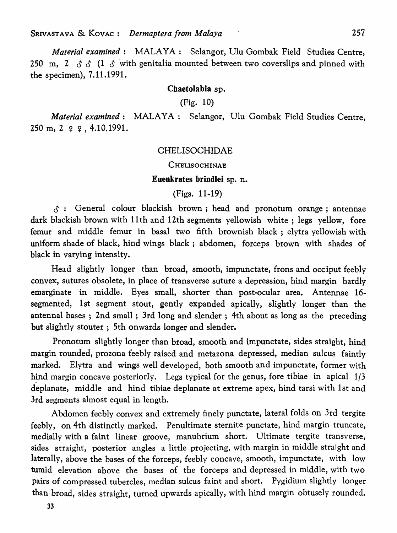*Material examined* : MALAYA: Selangor, UIu Gombak Field Studies Centre, 250 m, 2  $\delta$   $\delta$  (1  $\delta$  with genitalia mounted between two coverslips and pinned with the specimen), 7.11.1991.

# Chaetolabia sp.

(Fig. 10)

*Material examined* : MALAYA : Selangor, Ulu Gombak Field Studies Centre,  $250 \text{ m}, 2 \text{ } \varphi, 4.10.1991.$ 

## CHELISOCHIDAE

#### CHELISOCHINAE

## Euenkrates brindlei sp. n.

(Figs. 11-19)

 $\delta$ : General colour blackish brown; head and pronotum orange; antennae dark blackish brown with 11th and 12th segments yellowish white; legs yellow, fore femur and middle femur in basal two fifth brownish black; elytra yellowish with uniform shade of black, hind wings black; abdomen, forceps brown with shades of black in varying intensity.

Head slightly longer than broad, smooth, impunctate, frons and occiput feebly convex, sutures obsolete, in place of transverse suture a depression, hind margin hardly emarginate in middle. Eyes small, shorter than post-ocular area. Antennae 16 segmented, 1st segment stout, gently expanded apically, slightly longer than the antennal bases; 2nd small; 3rd long and slender; 4th about as long as the preceding but slightly stouter; 5th onwards longer and slender.

Pronotum slightly longer than broad, smooth and impunctate, sides straight, hind margin rounded, prozona feebly raised and metazona depressed, median sulcus faintly marked. Elytra and wings well developed, both smooth and impunctate, former with hind margin concave posteriorly. Legs typical for the genus, fore tibiae in apical  $1/3$ deplanate, middle and hind tibiae deplanate at extreme apex, hind tarsi with 1st and 3rd segments almost equal in length.

Abdomen feebly convex and extremely finely punctate, lateral folds on 3rd tergite feebly, on 4th distinctly marked. Penultimate sternite punctate, hind margin truncate, medially with a faint linear groove, manubrium short. Ultimate tergite transverse, sides straight, posterior angles a little projecting, with margin in middle straight and laterally, above the bases of the forceps, feebly concave, smooth, impunctate, with low tumid elevation above the bases of the forceps and depressed in middle, with two pairs of compressed tubercles, median sulcus faint and short. Pygidium slightly longer than broad, sides straight, turned upwards apically, with hind margin obtusely rounded,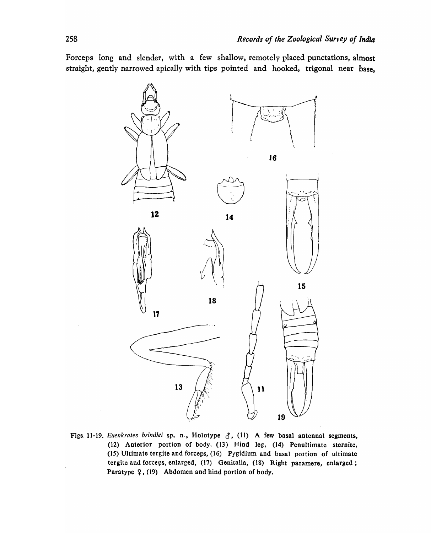Forceps long and slender, with a few shallow, remotely placed punctations, almost straight, gently narrowed apically with tips pointed and hooked, trigonal near base,



Figs. 11-19. *Euenkrates brindlei* sp. n., Holotype  $\delta$ , (11) A few basal antennal segments, (12) Anterior portion of body, (13) Hind leg, (14) Penultimate steroite, (15) Ultimate tergite and forceps, (16) Pygidium and basal portion of ultimate tergite and forceps, enlarged, (17) Genitalia, (18) Right paramere, enlarged; Paratype  $9$ , (19) Abdomen and hind portion of body.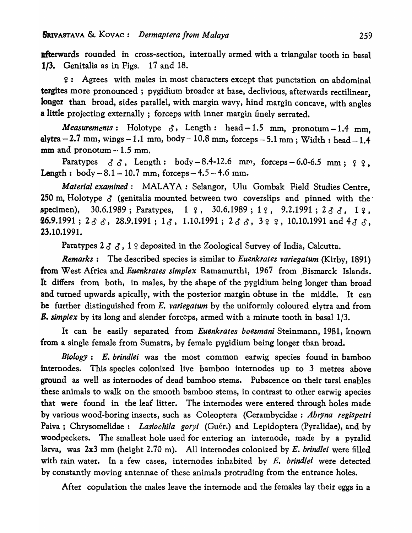afterwards rounded in cross-section, internally armed with a triangular tooth in basal 1/3. Genitalia as in Figs. 17 and 18.

~: Agrees with males in most characters except that punctation on abdominal tergites more pronounced; pygidium broader at base, declivious, afterwards rectilinear, longer than broad, sides parallel, with margin wavy, hind margin concave, with angles a little projecting externally; forceps with inner margin finely serrated.

*Measurements*: Holotype  $\delta$ , Length: head-1.5 mm, pronotum-1.4 mm, elytra  $-2.7$  mm, wings  $-1.1$  mm, body  $-10.8$  mm, forceps  $-5.1$  mm; Width: head  $-1.4$  $mm$  and pronotum  $-.1.5$  mm.

Paratypes  $\delta \delta$ , Length: body - 8.4-12.6 mm, forceps - 6.0-6.5 mm;  $\varphi$   $\varphi$ . **Length:** body  $-8.1 - 10.7$  mm, forceps  $-4.5 - 4.6$  mm.

*Material examined* : MALAYA : Selangor, Ulu Gombak Field Studies Centre. 250 m, Holotype  $\delta$  (genitalia mounted between two coverslips and pinned with the specimen), 30.6.1989; Paratypes,  $1 \t9$ , 30.6.1989;  $1 \t9$ , 9.2.1991;  $2 \t3 \t3$ ,  $1 \t9$ , **26.9.1991**;  $2 \delta \delta$ , 28.9.1991;  $1 \delta$ , 1.10.1991;  $2 \delta \delta$ ,  $3 \epsilon$ ,  $9 \epsilon$ , 10.10.1991 and  $4 \delta \delta$ . 23.10.1991.

Paratypes  $2 \delta \delta$ ,  $1 \Omega$  deposited in the Zoological Survey of India, Calcutta.

*Remarks:* The described species is similar to *Euenkrates variegatum* (Kirby, 1891) from West Africa and *Euenkrates simplex* Ramamurthi, 1967 from Bismarck Islands. It differs from both, in males, by the shape of the pygidium being longer than broad and turned upwards apically, with the posterior margin obtuse in the middle. It can be further distinguished from *E. variegatum* by the uniformly coloured elytra and from *E. simplex* by its long and slender forceps, armed with a minute tooth in basal 1/3.

It can be easily separated from *Euenkrates boesmani* Steinmann, 1981, known from a single female from Sumatra, by female pygidium being longer than broad.

*Biology:* E. *brindlei* was the most common earwig species found in bamboo internodes. This species colonized live bamboo internodes up to 3 metres above ground as well as internodes of dead bamboo stems. Pubscence on their tarsi enables these animals to walk on the smooth bamboo stems, in contrast to other earwig species that were found in the leaf litter. The internodes were entered through holes made by various wood-boring insects, such as Coleoptera (Cerambycidae: *Abryna regis petri*  Paiva; Chrysomelidae: *Lasiochila goryi* (Guér.) and Lepidoptera (Pyralidae), and by woodpeckers. The smallest hole used for entering an internode, made by a pyralid larva, was 2x3 mm (height 2.70 m). All internodes colonized by *E. brindlei* were filled with rain water. In a few cases, internodes inhabited by E. *brindlei* were detected by constantly moving antennae of these animals protruding from the entrance holes.

After copulation the males leave the internode and the females lay their eggs in a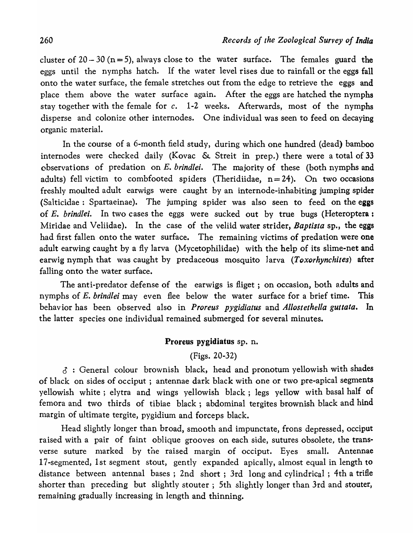cluster of  $20 - 30$  (n = 5), always close to the water surface. The females guard the eggs until the nymphs hatch. If the water level rises due to rainfall or the eggs fall onto the water surface, the female stretches out from the edge to retrieve the eggs and place them above the water surface again. After the eggs are hatched the nymphs stay together with the female for *c.* 1-2 weeks. Afterwards, most of the nymphs disperse and colonize other internodes. One individual was seen to feed on decaying organic material.

In the course of a 6-month field study, during which one hundred (dead) bamboo internodes were checked daily (Kovac & Streit in prep.) there were a total of 33 observations of predation on *E. brindlei.* The majority of these (both nymphs and adults) fell victim to combfooted spiders (Theridiidae,  $n=24$ ). On two occasions freshly moulted adult earwigs were caught by an internode-inhabiting jumping spider (Salticidae : Spartaeinae). The jumping spider was also seen to feed on the eggs of *E. brindlei.* In two cases the eggs were sucked out by true bugs (Heteroptera: Miridae and Veliidae). In the case of the veliid water strider, *Baptista* sp., the eggs had first fallen onto the water surface. The remaining victims of predation were one adult earwing caught by a fly larva (Mycetophilidae) with the help of its slime-net and earwig nymph that was caught by predaceous mosquito larva *(Toxorhynchites)* after falling onto the water surface.

The anti-predator defense of the earwigs is fliget ; on occasion, both adults and nymphs of *E. brindlei* may even flee below the water surface for a brief time. This behavior has been observed also in *Proreus pygidiatus* and *Allostethella guttata.* In the latter species one individual remained submerged for several minutes.

# Proreus pygidiatus sp. n.

# (Figs. 20-32)

 $\delta$ : General colour brownish black, head and pronotum yellowish with shades of black on sides of occiput ; antennae dark black with one or two pre-apical segments yellowish white; elytra and wings yellowish black; legs yellow with basal half of femora and two thirds of tibiae black; abdominal tergites brownish black and hind margin of ultimate tergite, pygidium and forceps black.

Head slightly longer than broad, smooth and impunctate, frons depressed, occiput raised with a pair of faint oblique grooves on each side, sutures obsolete, the transverse suture marked by the raised margin of occiput. Eyes small. Antennae 17-segmented, 1st segment stout, gently expanded apically, almost equal in length to distance between antennal bases; 2nd short; 3rd long and cylindrical; 4th a trifle shorter than preceding but slightly stouter; 5th slightly longer than 3rd and stouter, remaining gradually increasing in length and thinning.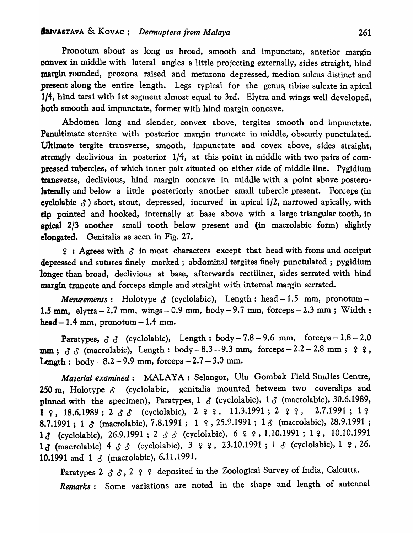Pronotum about as long as broad, smooth and impunctate, anterior margin convex in middle with lateral angles a little projecting externally, sides straight, hind margin rounded, prozona raised and metazona depressed, median sulcus distinct and 'present along the entire length. Legs typical for the genus, tibiae sulcate in apical 1/4, hind tarsi with 1st segment almost equal to 3rd. Elytra and wings well developed, hoth smooth and impunctate, former with hind margin concave.

Abdomen long and slender, convex above, tergites smooth and impunctate. Penultimate sternite with posterior margin truncate in middle, obscurly punctulated. Ultimate tergite transverse, smooth, impunctate and covex above, sides straight, strongly declivious in posterior  $1/4$ , at this point in middle with two pairs of compressed tubercles, of which inner pair situated on either side of middle line. Pygidium transverse, declivious, hind margin concave in middle with a point above posterolaterally and below a little posteriorly another small tubercle present. Forceps (in cyclolabic  $\delta$ ) short, stout, depressed, incurved in apical 1/2, narrowed apically, with tip pointed and hooked, internally at base above with a large triangular tooth, in apical 2/3 another small tooth below present and (in macrolabic form) slightly elongated. Genitalia as seen in Fig. 27.

 $\varphi$ : Agrees with  $\varphi$  in most characters except that head with frons and occiput depressed and sutures finely marked; abdominal tergites finely punctulated ; pygidium longer than broad, declivious at base, afterwards rectiliner, sides serrated with hind margin truncate and forceps simple and straight with internal margin serrated.

*Mesurements*: Holotype  $\delta$  (cyclolabic), Length: head  $-1.5$  mm, pronotum  $-$ 1.5 mm, elytra  $-2.7$  mm, wings  $-0.9$  mm, body  $-9.7$  mm, forceps  $-2.3$  mm; Width: head  $-1.4$  mm, pronotum  $-1.4$  mm.

Paratypes,  $\delta \delta$  (cyclolabic), Length: body -7.8 - 9.6 mm, forceps - 1.8 - 2.0 mm;  $\delta$   $\delta$  (macrolabic), Length: body - 8.3 - 9.3 mm, forceps - 2.2 - 2.8 mm;  $\varphi$   $\varphi$ , Length:  $body - 8.2 - 9.9$  mm, forceps  $-2.7 - 3.0$  mm.

*Material examined*: MALAYA : Selangor, Ulu Gombak Field Studies Centre, **250 m, Holotype**  $\delta$  (cyclolabic, genitalia mounted between two coverslips and pinned with the specimen), Paratypes, 1  $\delta$  (cyclolabic), 1  $\delta$  (macrolabic). 30.6.1989,  $1$   $2$ ,  $18.6.1989$ ;  $2$   $3$   $3$  (cyclolabic),  $2$   $2$   $2$ ,  $11.3.1991$ ;  $2$   $2$ ,  $2$ ,  $2.7.1991$ ;  $1$  $2$ 8.7.1991; 1 & (macrolabic), 7.8.1991; 1  $\Omega$ , 25.9.1991; 1 & (macrolabic), 28.9.1991; 1  $\delta$  (cyclolabic), 26.9.1991; 2  $\delta$   $\delta$  (cyclolabic), 6  $\epsilon$   $\epsilon$   $\epsilon$ , 1.10.1991; 1  $\epsilon$ , 10.10.1991  $1\delta$  (macrolabic) 4  $\delta$   $\delta$  (cyclolabic), 3  $\epsilon$   $\epsilon$ , 23.10.1991; 1  $\delta$  (cyclolabic), 1  $\epsilon$ , 26. **10.1991** and 1  $\delta$  (macrolabic), 6.11.1991.

Paratypes 2  $\delta$   $\delta$ , 2  $\varphi$   $\varphi$  deposited in the Zoological Survey of India, Calcutta. *Remarks:* Some variations are noted in the shape and length of antennal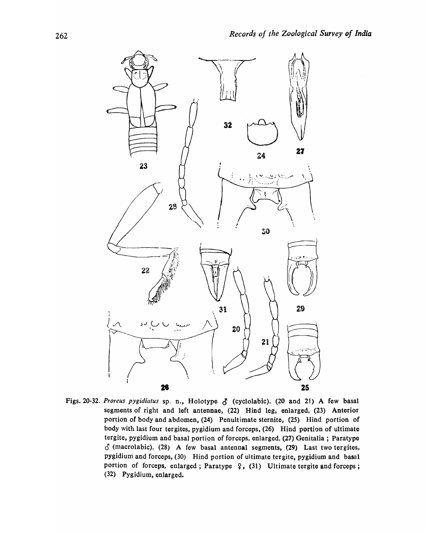

Figs. 20-32. *Proreus pygidiatus* sp. n., Holotype & (cyclolabic), (20 and 21) A few basal segments of right and left antennae, (22) Hind leg, enlarged, (23) Anterior portion of body and abdomen, (24) Penultimate sternite, (25) Hind portion of body with last four tergites, pygidium and forceps, (26) Hind portion of ultimate tergite, pygidium and basal portion of forceps, enlarged, (27) Genitalia; Paratype  $\delta$  (macrolabic), (28) A few basal antennal segments, (29) Last two tergites, pygidium and forceps, (30) Hind portion of ultimate tergite, pygidium and basal portion of forceps, enlarged; Paratype  $9$ , (31) Ultimate tergite and forceps; (32) Pygidium, enlarged.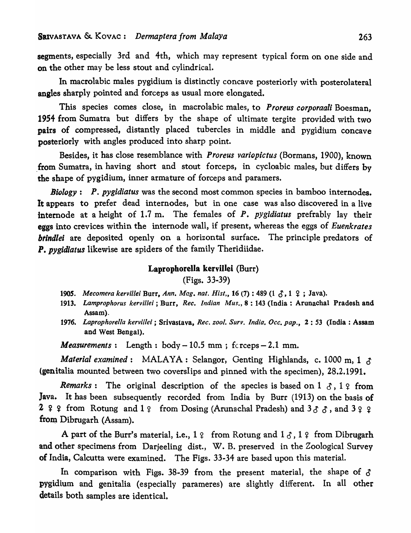segments, especially 3rd and 4th, which may represent typical form on one side and on the other may be less stout and cylindrical.

In macrolabic males pygidium is distinctly concave posteriorly with posterolateral angles sharply pointed and forceps as usual more elongated.

This species comes close, in macrolabic males, to *P roreus corporaali* Boesman, 1954 from Sumatra but differs by the shape of ultimate tergite provided with two pairs of compressed, distantly placed tubercles in middle and pygidium concave posteriorly with angles produced into sharp point.

Besides, it has close resemblance with *Proreus variopictus* (Bormans, 1900), known from Sumatra, in having short and stout forceps, in cycloabic males, but differs by the shape of pygidium, inner armature of forceps and paramers.

*Biology:* P. *pygidiatus* was the second most common species in bamboo internodes. It appears to prefer dead internodes, but in one case was also discovered in a live internode at a height of 1.7 m. The females of *P. pygidiatus* prefrably lay their eggs into crevices within the internode wall, if present, whereas the eggs of *Euenkrates*  **brindlei** are deposited openly on a horizontal surface. The principle predators of P. *pygidiatus* likewise are spiders of the family Theridiidae.

# Laprophorella kervillei (Burr) (Figs. 33-39)

- 1905. Mecomera kervillei Burr, *Ann. Mag. nat. Hist.*, 16 (7): 489 (1  $\xi$ , 1  $\xi$ ; Java).
- *1913. Lamprophorus kervillei;* Burr, *Ree. Indian Mus.,* 8 : 143 (India: Arunachal Pradesh and Assam).
- *1976. Laprophorella kervillei* ; Srivastava, *Rec. zool. Surv. India. Dec. pap.,* 2: S3 (India: Assam and West Bengal).

*Measurements*: Length:  $body-10.5$  mm;  $fcreps-2.1$  mm.

*Material examined* : MALAYA: Selangor, Genting Highlands, c. 1000 m, 1 6' (genitalia mounted between two coversIips and pinned with the specimen), 28.2.1991.

*Remarks*: The original description of the species is based on  $1 \text{ } \mathcal{S}$ ,  $1 \text{ } \mathcal{S}$  from Java. It has been subsequently recorded from India by Burr (1913) on the basis of 2 ? ? from Rotung and 1 ? from Dosing (Arunachal Pradesh) and  $3335$ , and  $329$ from Dibrugarh (Assam).

A part of the Burr's material, i.e.,  $1 \nsubseteq$  from Rotung and  $1 \nsubseteq I$ ,  $1 \nsubseteq$  from Dibrugarh and other specimens from Darjeeling dist., W. B. preserved in the Zoological Survey of India, Calcutta were examined. The Figs. 33-34 are based upon this material.

In comparison with Figs. 38-39 from the present material, the shape of  $\delta$ pygidium and genitalia (especially parameres) are slightly different. In all other details both samples are identical.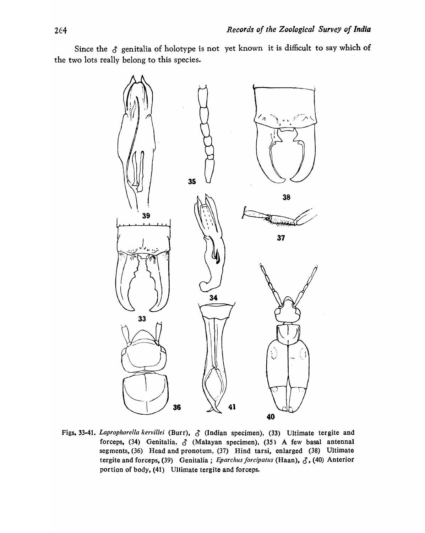Since the  $\delta$  genitalia of holotype is not yet known it is difficult to say which of the two lots really belong to this species.



Figs. 33-41. *Laprophorella kervillei* (Burr),  $\delta$  (Indian specimen), (33) Ultimate tergite and forceps, (34) Genitalia,  $\delta$  (Malayan specimen), (35) A few basal antennal segments, (36) Head and pronotum, (37) Hind tarsi, enlarged (38) Ultimate tergite and forceps, (39) Genitalia; *Eparchus forcipatus* (Haan),  $\delta$ , (40) Anterior portion of body, (41) Ultimate tergite and forceps.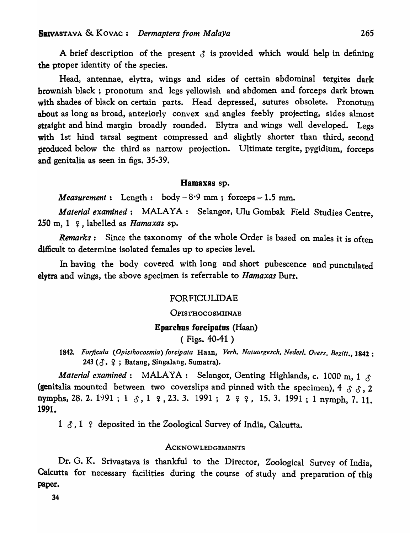A brief description of the present  $\delta$  is provided which would help in defining the proper identity of the species.

Head, antennae, elytra, wings and sides of certain abdominal tergites dark brownish black ; pronotum and legs yellowish and abdomen and forceps dark brown with shades of black on certain parts. Head depressed, sutures obsolete. Pronotum about as long as broad, anteriorly convex and angles feebly projecting, sides almost straight and hind margin broadly rounded. Elytra and wings well developed. Legs with 1st hind tarsal segment compressed and slightly shorter than third, second produced below the third as narrow projection. Ultimate tergite, pygidium, forceps and genitalia as seen in figs. 35-39.

#### Hamaxas sp.

*Measurement*: Length:  $body - 8.9$  mm; forceps - 1.5 mm.

*Material examined:* MALAYA: Selangor, Ulu Gombak Field Studies Centre,  $250 \text{ m}, 1 \text{ }$  ? labelled as *Hamaxas* sp.

*Remarks:* Since the taxonomy of the whole Order is based on males it is often difficult to determine isolated females up to species level.

In having the body covered with long and short pubescence and punctulated elvtra and wings, the above specimen is referrable to *Hamaxas* Burr.

# FORFICULIDAE

## **OPISTHOCOSMIINAE**

## Eparchus forcipatus (Haan)

# ( Figs. 40-41 )

*1842. Forficula (Opist/tocosmia) /orcipata* Haan, *Verh. Natulirgesch. Nederl. Overz. Bezitt.,* 1842 : 243 ( $\zeta$ ,  $\zeta$ ; Batang, Singalang, Sumatra).

*Material examined* : MALAYA : Selangor, Genting Highlands, c. 1000 m, 1  $\sigma$ (genitalia mounted between two coverslips and pinned with the specimen), 4  $\delta$   $\delta$ , 2 nymphs, 28. 2. 1991 ; 1  $\delta$ , 1  $\gamma$ , 23. 3. 1991 ; 2  $\gamma$   $\gamma$ , 15. 3. 1991 ; 1 nymph, 7. 11. 1991.

 $1 \delta$ ,  $1 \delta$  deposited in the Zoological Survey of India, Calcutta.

# **ACKNOWLEDGEMENTS**

Dr. G. K. Srivastava is thankful to the Director, Zoological Survey of India, Calcutta for necessary facilities during the course of study and preparation of this paper.